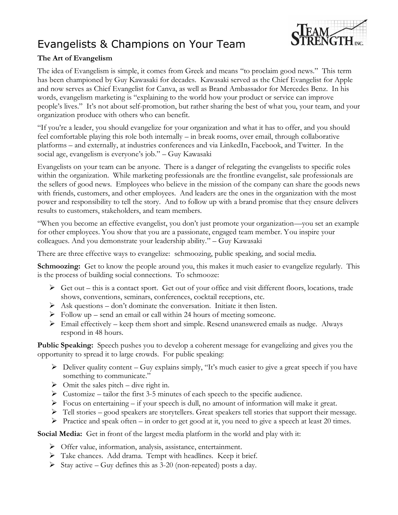## Evangelists & Champions on Your Team



## **The Art of Evangelism**

The idea of Evangelism is simple, it comes from Greek and means "to proclaim good news." This term has been championed by Guy Kawasaki for decades. Kawasaki served as the Chief Evangelist for Apple and now serves as Chief Evangelist for Canva, as well as Brand Ambassador for Mercedes Benz. In his words, evangelism marketing is "explaining to the world how your product or service can improve people's lives." It's not about self-promotion, but rather sharing the best of what you, your team, and your organization produce with others who can benefit.

"If you're a leader, you should evangelize for your organization and what it has to offer, and you should feel comfortable playing this role both internally – in break rooms, over email, through collaborative platforms – and externally, at industries conferences and via LinkedIn, Facebook, and Twitter. In the social age, evangelism is everyone's job." – Guy Kawasaki

Evangelists on your team can be anyone. There is a danger of relegating the evangelists to specific roles within the organization. While marketing professionals are the frontline evangelist, sale professionals are the sellers of good news. Employees who believe in the mission of the company can share the goods news with friends, customers, and other employees. And leaders are the ones in the organization with the most power and responsibility to tell the story. And to follow up with a brand promise that they ensure delivers results to customers, stakeholders, and team members.

"When you become an effective evangelist, you don't just promote your organization—you set an example for other employees. You show that you are a passionate, engaged team member. You inspire your colleagues. And you demonstrate your leadership ability." – Guy Kawasaki

There are three effective ways to evangelize: schmoozing, public speaking, and social media.

**Schmoozing:** Get to know the people around you, this makes it much easier to evangelize regularly. This is the process of building social connections. To schmooze:

- $\triangleright$  Get out this is a contact sport. Get out of your office and visit different floors, locations, trade shows, conventions, seminars, conferences, cocktail receptions, etc.
- $\triangleright$  Ask questions don't dominate the conversation. Initiate it then listen.
- $\triangleright$  Follow up send an email or call within 24 hours of meeting someone.
- ➢ Email effectively keep them short and simple. Resend unanswered emails as nudge. Always respond in 48 hours.

**Public Speaking:** Speech pushes you to develop a coherent message for evangelizing and gives you the opportunity to spread it to large crowds. For public speaking:

- $\triangleright$  Deliver quality content Guy explains simply, "It's much easier to give a great speech if you have something to communicate."
- $\triangleright$  Omit the sales pitch dive right in.
- $\triangleright$  Customize tailor the first 3-5 minutes of each speech to the specific audience.
- $\triangleright$  Focus on entertaining if your speech is dull, no amount of information will make it great.
- $\triangleright$  Tell stories good speakers are storytellers. Great speakers tell stories that support their message.
- ➢ Practice and speak often in order to get good at it, you need to give a speech at least 20 times.

**Social Media:** Get in front of the largest media platform in the world and play with it:

- ➢ Offer value, information, analysis, assistance, entertainment.
- ➢ Take chances. Add drama. Tempt with headlines. Keep it brief.
- $\triangleright$  Stay active Guy defines this as 3-20 (non-repeated) posts a day.